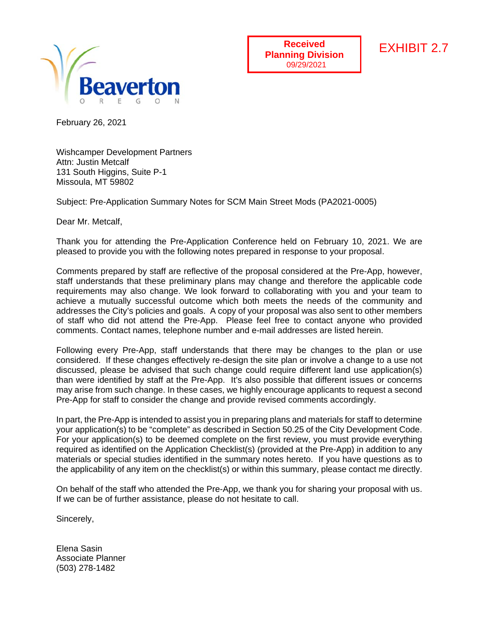

**Received Planning Division**

# EXHIBIT 2.7

February 26, 2021

Wishcamper Development Partners Attn: Justin Metcalf 131 South Higgins, Suite P-1 Missoula, MT 59802

Subject: Pre-Application Summary Notes for SCM Main Street Mods (PA2021-0005)

Dear Mr. Metcalf,

Thank you for attending the Pre-Application Conference held on February 10, 2021. We are pleased to provide you with the following notes prepared in response to your proposal.

Comments prepared by staff are reflective of the proposal considered at the Pre-App, however, staff understands that these preliminary plans may change and therefore the applicable code requirements may also change. We look forward to collaborating with you and your team to achieve a mutually successful outcome which both meets the needs of the community and addresses the City's policies and goals. A copy of your proposal was also sent to other members of staff who did not attend the Pre-App. Please feel free to contact anyone who provided comments. Contact names, telephone number and e-mail addresses are listed herein.

Following every Pre-App, staff understands that there may be changes to the plan or use considered. If these changes effectively re-design the site plan or involve a change to a use not discussed, please be advised that such change could require different land use application(s) than were identified by staff at the Pre-App. It's also possible that different issues or concerns may arise from such change. In these cases, we highly encourage applicants to request a second Pre-App for staff to consider the change and provide revised comments accordingly.

In part, the Pre-App is intended to assist you in preparing plans and materials for staff to determine your application(s) to be "complete" as described in Section 50.25 of the City Development Code. For your application(s) to be deemed complete on the first review, you must provide everything required as identified on the Application Checklist(s) (provided at the Pre-App) in addition to any materials or special studies identified in the summary notes hereto. If you have questions as to the applicability of any item on the checklist(s) or within this summary, please contact me directly.

On behalf of the staff who attended the Pre-App, we thank you for sharing your proposal with us. If we can be of further assistance, please do not hesitate to call.

Sincerely,

Elena Sasin Associate Planner (503) 278-1482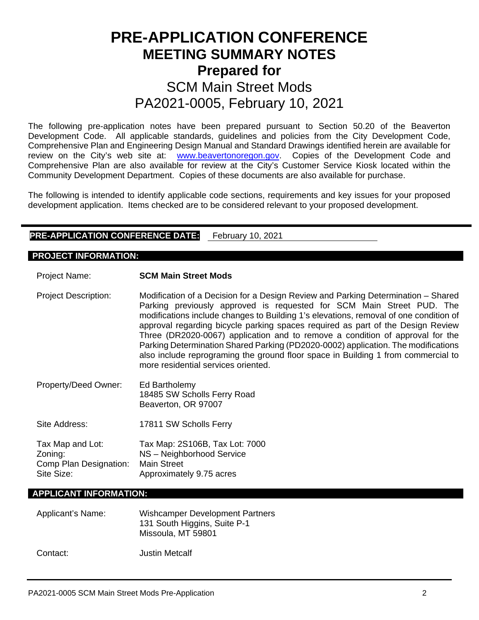# **PRE-APPLICATION CONFERENCE MEETING SUMMARY NOTES Prepared for**  SCM Main Street Mods PA2021-0005, February 10, 2021

The following pre-application notes have been prepared pursuant to Section 50.20 of the Beaverton Development Code. All applicable standards, guidelines and policies from the City Development Code, Comprehensive Plan and Engineering Design Manual and Standard Drawings identified herein are available for review on the City's web site at: [www.beavertonoregon.gov.](http://www.beavertonoregon.gov/) Copies of the Development Code and Comprehensive Plan are also available for review at the City's Customer Service Kiosk located within the Community Development Department. Copies of these documents are also available for purchase.

The following is intended to identify applicable code sections, requirements and key issues for your proposed development application. Items checked are to be considered relevant to your proposed development.

# **PRE-APPLICATION CONFERENCE DATE:** February 10, 2021

#### **PROJECT INFORMATION:**

Project Name: **SCM Main Street Mods**

- Project Description: Modification of a Decision for a Design Review and Parking Determination Shared Parking previously approved is requested for SCM Main Street PUD. The modifications include changes to Building 1's elevations, removal of one condition of approval regarding bicycle parking spaces required as part of the Design Review Three (DR2020-0067) application and to remove a condition of approval for the Parking Determination Shared Parking (PD2020-0002) application. The modifications also include reprograming the ground floor space in Building 1 from commercial to more residential services oriented.
- Property/Deed Owner: Ed Bartholemy 18485 SW Scholls Ferry Road Beaverton, OR 97007
- Site Address: 17811 SW Scholls Ferry

Tax Map and Lot: Tax Map: 2S106B, Tax Lot: 7000 Zoning: NS – Neighborhood Service Comp Plan Designation: Main Street Site Size: **Approximately 9.75 acres** 

#### **APPLICANT INFORMATION:**

| Applicant's Name: | <b>Wishcamper Development Partners</b><br>131 South Higgins, Suite P-1<br>Missoula, MT 59801 |
|-------------------|----------------------------------------------------------------------------------------------|
| Contact:          | <b>Justin Metcalf</b>                                                                        |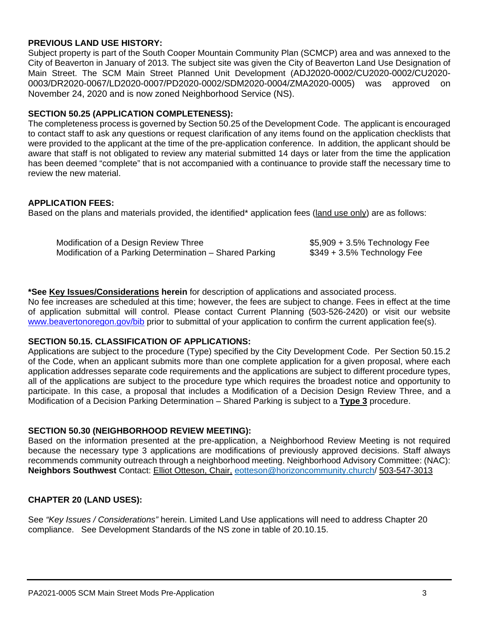## **PREVIOUS LAND USE HISTORY:**

Subject property is part of the South Cooper Mountain Community Plan (SCMCP) area and was annexed to the City of Beaverton in January of 2013. The subject site was given the City of Beaverton Land Use Designation of Main Street. The SCM Main Street Planned Unit Development (ADJ2020-0002/CU2020-0002/CU2020- 0003/DR2020-0067/LD2020-0007/PD2020-0002/SDM2020-0004/ZMA2020-0005) was approved on November 24, 2020 and is now zoned Neighborhood Service (NS).

## **SECTION 50.25 (APPLICATION COMPLETENESS):**

The completeness process is governed by Section 50.25 of the Development Code. The applicant is encouraged to contact staff to ask any questions or request clarification of any items found on the application checklists that were provided to the applicant at the time of the pre-application conference. In addition, the applicant should be aware that staff is not obligated to review any material submitted 14 days or later from the time the application has been deemed "complete" that is not accompanied with a continuance to provide staff the necessary time to review the new material.

## **APPLICATION FEES:**

Based on the plans and materials provided, the identified\* application fees (land use only) are as follows:

| Modification of a Design Review Three                    | $$5,909 + 3.5\%$ Technology Fee |
|----------------------------------------------------------|---------------------------------|
| Modification of a Parking Determination – Shared Parking | $$349 + 3.5\%$ Technology Fee   |

## **\*See Key Issues/Considerations herein** for description of applications and associated process.

No fee increases are scheduled at this time; however, the fees are subject to change. Fees in effect at the time of application submittal will control. Please contact Current Planning (503-526-2420) or visit our website [www.beavertonoregon.gov/bib](http://www.beavertonoregon.gov/bib) prior to submittal of your application to confirm the current application fee(s).

### **SECTION 50.15. CLASSIFICATION OF APPLICATIONS:**

Applications are subject to the procedure (Type) specified by the City Development Code. Per Section 50.15.2 of the Code, when an applicant submits more than one complete application for a given proposal, where each application addresses separate code requirements and the applications are subject to different procedure types, all of the applications are subject to the procedure type which requires the broadest notice and opportunity to participate. In this case, a proposal that includes a Modification of a Decision Design Review Three, and a Modification of a Decision Parking Determination – Shared Parking is subject to a **Type 3** procedure.

# **SECTION 50.30 (NEIGHBORHOOD REVIEW MEETING):**

Based on the information presented at the pre-application, a Neighborhood Review Meeting is not required because the necessary type 3 applications are modifications of previously approved decisions. Staff always recommends community outreach through a neighborhood meeting. Neighborhood Advisory Committee: (NAC): **Neighbors Southwest** Contact: Elliot Otteson, Chair, [eotteson@horizoncommunity.church/](mailto:eotteson@horizoncommunity.church) 503-547-3013

# **CHAPTER 20 (LAND USES):**

See *"Key Issues / Considerations"* herein. Limited Land Use applications will need to address Chapter 20 compliance. See Development Standards of the NS zone in table of 20.10.15.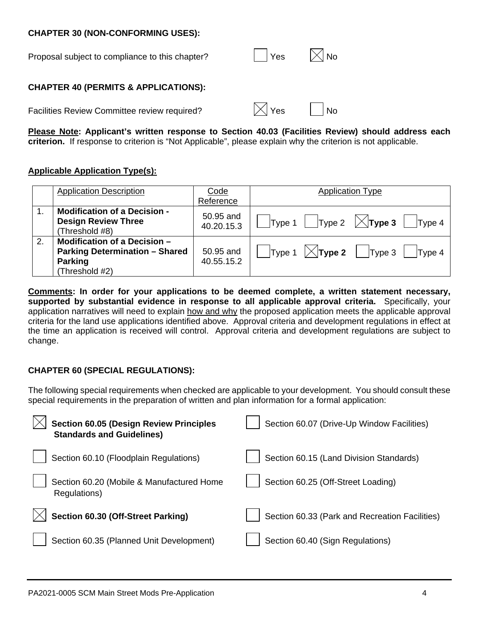#### **CHAPTER 30 (NON-CONFORMING USES):**

| Proposal subject to compliance to this chapter? | $\vert$ Yes | $\vert\angle\vert$ No |
|-------------------------------------------------|-------------|-----------------------|
|                                                 |             |                       |

#### **CHAPTER 40 (PERMITS & APPLICATIONS):**

Facilities Review Committee review required?  $|\times|$  Yes  $|\cdot|$  No

|--|--|

**Please Note: Applicant's written response to Section 40.03 (Facilities Review) should address each criterion.** If response to criterion is "Not Applicable", please explain why the criterion is not applicable.

### **Applicable Application Type(s):**

|    | <b>Application Description</b>        | Code       | <b>Application Type</b>                                               |
|----|---------------------------------------|------------|-----------------------------------------------------------------------|
|    |                                       | Reference  |                                                                       |
|    | <b>Modification of a Decision -</b>   | 50.95 and  |                                                                       |
|    | <b>Design Review Three</b>            | 40.20.15.3 | $\vert$ Type 1 $\vert$ Type 2 $\vert \times$ <b>Type 3</b><br> Type 4 |
|    | (Threshold #8)                        |            |                                                                       |
| 2. | Modification of a Decision -          |            |                                                                       |
|    | <b>Parking Determination - Shared</b> | 50.95 and  | $\vert$ Type 1 $\vert$ $\chi$ <b>Type 2</b> $\vert$ Type 3<br>Type 4  |
|    | <b>Parking</b>                        | 40.55.15.2 |                                                                       |
|    | (Threshold #2)                        |            |                                                                       |

**Comments: In order for your applications to be deemed complete, a written statement necessary, supported by substantial evidence in response to all applicable approval criteria.** Specifically, your application narratives will need to explain how and why the proposed application meets the applicable approval criteria for the land use applications identified above. Approval criteria and development regulations in effect at the time an application is received will control. Approval criteria and development regulations are subject to change.

# **CHAPTER 60 (SPECIAL REGULATIONS):**

The following special requirements when checked are applicable to your development. You should consult these special requirements in the preparation of written and plan information for a formal application:

| <b>Section 60.05 (Design Review Principles</b><br><b>Standards and Guidelines)</b> | Section 60.07 (Drive-Up Window Facilities)     |
|------------------------------------------------------------------------------------|------------------------------------------------|
| Section 60.10 (Floodplain Regulations)                                             | Section 60.15 (Land Division Standards)        |
| Section 60.20 (Mobile & Manufactured Home<br>Regulations)                          | Section 60.25 (Off-Street Loading)             |
| Section 60.30 (Off-Street Parking)                                                 | Section 60.33 (Park and Recreation Facilities) |
| Section 60.35 (Planned Unit Development)                                           | Section 60.40 (Sign Regulations)               |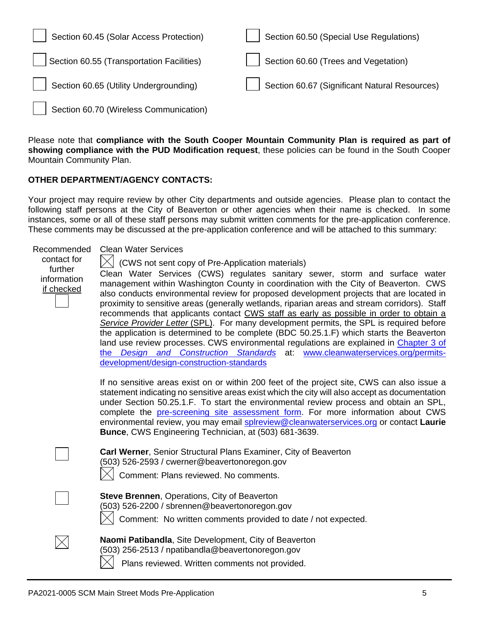| Section 60.45 (Solar Access Protection)   | Section 60.50 (Special Use Regulations)       |
|-------------------------------------------|-----------------------------------------------|
| Section 60.55 (Transportation Facilities) | Section 60.60 (Trees and Vegetation)          |
| Section 60.65 (Utility Undergrounding)    | Section 60.67 (Significant Natural Resources) |
| Section 60.70 (Wireless Communication)    |                                               |

Please note that **compliance with the South Cooper Mountain Community Plan is required as part of showing compliance with the PUD Modification request**, these policies can be found in the South Cooper Mountain Community Plan.

#### **OTHER DEPARTMENT/AGENCY CONTACTS:**

Your project may require review by other City departments and outside agencies. Please plan to contact the following staff persons at the City of Beaverton or other agencies when their name is checked. In some instances, some or all of these staff persons may submit written comments for the pre-application conference. These comments may be discussed at the pre-application conference and will be attached to this summary:

| Recommended<br>contact for<br>further<br>information<br>if checked | <b>Clean Water Services</b><br>(CWS not sent copy of Pre-Application materials)<br>Clean Water Services (CWS) regulates sanitary sewer, storm and surface water<br>management within Washington County in coordination with the City of Beaverton. CWS<br>also conducts environmental review for proposed development projects that are located in<br>proximity to sensitive areas (generally wetlands, riparian areas and stream corridors). Staff<br>recommends that applicants contact CWS staff as early as possible in order to obtain a<br>Service Provider Letter (SPL). For many development permits, the SPL is required before<br>the application is determined to be complete (BDC 50.25.1.F) which starts the Beaverton<br>land use review processes. CWS environmental regulations are explained in Chapter 3 of<br>Design and Construction Standards at: www.cleanwaterservices.org/permits-<br>the<br>development/design-construction-standards |
|--------------------------------------------------------------------|----------------------------------------------------------------------------------------------------------------------------------------------------------------------------------------------------------------------------------------------------------------------------------------------------------------------------------------------------------------------------------------------------------------------------------------------------------------------------------------------------------------------------------------------------------------------------------------------------------------------------------------------------------------------------------------------------------------------------------------------------------------------------------------------------------------------------------------------------------------------------------------------------------------------------------------------------------------|
|                                                                    | If no sensitive areas exist on or within 200 feet of the project site, CWS can also issue a<br>statement indicating no sensitive areas exist which the city will also accept as documentation<br>under Section 50.25.1.F. To start the environmental review process and obtain an SPL,<br>complete the pre-screening site assessment form. For more information about CWS<br>environmental review, you may email splreview@cleanwaterservices.org or contact Laurie<br>Bunce, CWS Engineering Technician, at (503) 681-3639.                                                                                                                                                                                                                                                                                                                                                                                                                                   |
|                                                                    | Carl Werner, Senior Structural Plans Examiner, City of Beaverton<br>(503) 526-2593 / cwerner@beavertonoregon.gov<br>Comment: Plans reviewed. No comments.                                                                                                                                                                                                                                                                                                                                                                                                                                                                                                                                                                                                                                                                                                                                                                                                      |
|                                                                    | Steve Brennen, Operations, City of Beaverton<br>(503) 526-2200 / sbrennen@beavertonoregon.gov<br>Comment: No written comments provided to date / not expected.                                                                                                                                                                                                                                                                                                                                                                                                                                                                                                                                                                                                                                                                                                                                                                                                 |
|                                                                    | Naomi Patibandla, Site Development, City of Beaverton<br>(503) 256-2513 / npatibandla@beavertonoregon.gov<br>Plans reviewed. Written comments not provided.                                                                                                                                                                                                                                                                                                                                                                                                                                                                                                                                                                                                                                                                                                                                                                                                    |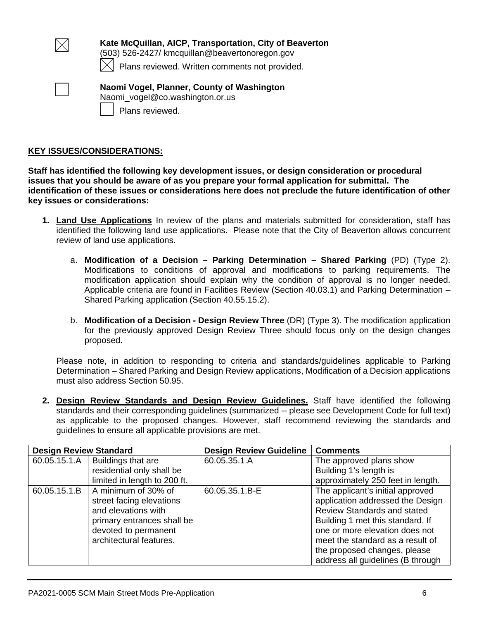

**Kate McQuillan, AICP, Transportation, City of Beaverton** (503) 526-2427/ kmcquillan@beavertonoregon.gov

Plans reviewed. Written comments not provided.



**Naomi Vogel, Planner, County of Washington** Naomi\_vogel@co.washington.or.us Plans reviewed.

## **KEY ISSUES/CONSIDERATIONS:**

**Staff has identified the following key development issues, or design consideration or procedural issues that you should be aware of as you prepare your formal application for submittal. The identification of these issues or considerations here does not preclude the future identification of other key issues or considerations:**

- **1. Land Use Applications** In review of the plans and materials submitted for consideration, staff has identified the following land use applications. Please note that the City of Beaverton allows concurrent review of land use applications.
	- a. **Modification of a Decision – Parking Determination – Shared Parking** (PD) (Type 2). Modifications to conditions of approval and modifications to parking requirements. The modification application should explain why the condition of approval is no longer needed. Applicable criteria are found in Facilities Review (Section 40.03.1) and Parking Determination – Shared Parking application (Section 40.55.15.2).
	- b. **Modification of a Decision - Design Review Three** (DR) (Type 3). The modification application for the previously approved Design Review Three should focus only on the design changes proposed.

Please note, in addition to responding to criteria and standards/guidelines applicable to Parking Determination – Shared Parking and Design Review applications, Modification of a Decision applications must also address Section 50.95.

**2. Design Review Standards and Design Review Guidelines.** Staff have identified the following standards and their corresponding guidelines (summarized -- please see Development Code for full text) as applicable to the proposed changes. However, staff recommend reviewing the standards and guidelines to ensure all applicable provisions are met.

| <b>Design Review Standard</b> |                              | <b>Design Review Guideline</b> | <b>Comments</b>                    |
|-------------------------------|------------------------------|--------------------------------|------------------------------------|
| 60.05.15.1.A                  | Buildings that are           | 60.05.35.1.A                   | The approved plans show            |
|                               | residential only shall be    |                                | Building 1's length is             |
|                               | limited in length to 200 ft. |                                | approximately 250 feet in length.  |
| 60.05.15.1.B                  | A minimum of 30% of          | 60.05.35.1.B-E                 | The applicant's initial approved   |
|                               | street facing elevations     |                                | application addressed the Design   |
|                               | and elevations with          |                                | <b>Review Standards and stated</b> |
|                               | primary entrances shall be   |                                | Building 1 met this standard. If   |
|                               | devoted to permanent         |                                | one or more elevation does not     |
|                               | architectural features.      |                                | meet the standard as a result of   |
|                               |                              |                                | the proposed changes, please       |
|                               |                              |                                | address all guidelines (B through  |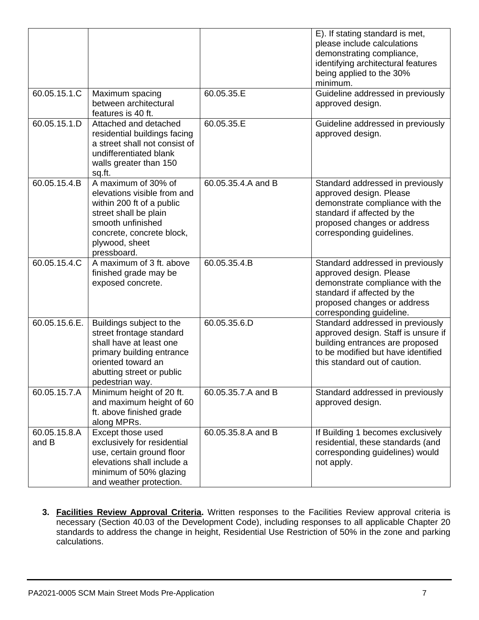|                       |                                                                                                                                                                                             |                    | E). If stating standard is met,<br>please include calculations<br>demonstrating compliance,<br>identifying architectural features<br>being applied to the 30%<br>minimum.                 |
|-----------------------|---------------------------------------------------------------------------------------------------------------------------------------------------------------------------------------------|--------------------|-------------------------------------------------------------------------------------------------------------------------------------------------------------------------------------------|
| 60.05.15.1.C          | Maximum spacing<br>between architectural<br>features is 40 ft.                                                                                                                              | 60.05.35.E         | Guideline addressed in previously<br>approved design.                                                                                                                                     |
| 60.05.15.1.D          | Attached and detached<br>residential buildings facing<br>a street shall not consist of<br>undifferentiated blank<br>walls greater than 150<br>sq.ft.                                        | 60.05.35.E         | Guideline addressed in previously<br>approved design.                                                                                                                                     |
| 60.05.15.4.B          | A maximum of 30% of<br>elevations visible from and<br>within 200 ft of a public<br>street shall be plain<br>smooth unfinished<br>concrete, concrete block,<br>plywood, sheet<br>pressboard. | 60.05.35.4.A and B | Standard addressed in previously<br>approved design. Please<br>demonstrate compliance with the<br>standard if affected by the<br>proposed changes or address<br>corresponding guidelines. |
| 60.05.15.4.C          | A maximum of 3 ft. above<br>finished grade may be<br>exposed concrete.                                                                                                                      | 60.05.35.4.B       | Standard addressed in previously<br>approved design. Please<br>demonstrate compliance with the<br>standard if affected by the<br>proposed changes or address<br>corresponding guideline.  |
| 60.05.15.6.E.         | Buildings subject to the<br>street frontage standard<br>shall have at least one<br>primary building entrance<br>oriented toward an<br>abutting street or public<br>pedestrian way.          | 60.05.35.6.D       | Standard addressed in previously<br>approved design. Staff is unsure if<br>building entrances are proposed<br>to be modified but have identified<br>this standard out of caution.         |
| 60.05.15.7.A          | Minimum height of 20 ft.<br>and maximum height of 60<br>ft. above finished grade<br>along MPRs.                                                                                             | 60.05.35.7.A and B | Standard addressed in previously<br>approved design.                                                                                                                                      |
| 60.05.15.8.A<br>and B | Except those used<br>exclusively for residential<br>use, certain ground floor<br>elevations shall include a<br>minimum of 50% glazing<br>and weather protection.                            | 60.05.35.8.A and B | If Building 1 becomes exclusively<br>residential, these standards (and<br>corresponding guidelines) would<br>not apply.                                                                   |

**3. Facilities Review Approval Criteria.** Written responses to the Facilities Review approval criteria is necessary (Section 40.03 of the Development Code), including responses to all applicable Chapter 20 standards to address the change in height, Residential Use Restriction of 50% in the zone and parking calculations.